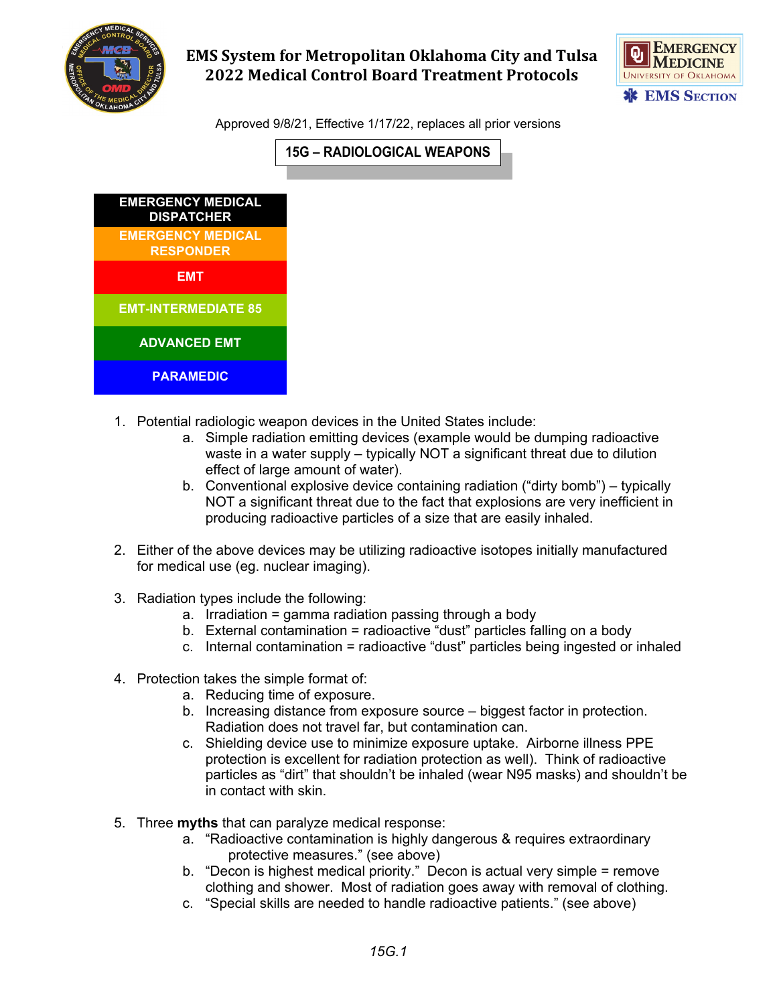

## **EMS System for Metropolitan Oklahoma City and Tulsa 2022 Medical Control Board Treatment Protocols**



Approved 9/8/21, Effective 1/17/22, replaces all prior versions





- 1. Potential radiologic weapon devices in the United States include:
	- a. Simple radiation emitting devices (example would be dumping radioactive waste in a water supply – typically NOT a significant threat due to dilution effect of large amount of water).
	- b. Conventional explosive device containing radiation ("dirty bomb") typically NOT a significant threat due to the fact that explosions are very inefficient in producing radioactive particles of a size that are easily inhaled.
- 2. Either of the above devices may be utilizing radioactive isotopes initially manufactured for medical use (eg. nuclear imaging).
- 3. Radiation types include the following:
	- a. Irradiation = gamma radiation passing through a body
	- b. External contamination = radioactive "dust" particles falling on a body
	- c. Internal contamination = radioactive "dust" particles being ingested or inhaled
- 4. Protection takes the simple format of:
	- a. Reducing time of exposure.
	- b. Increasing distance from exposure source biggest factor in protection. Radiation does not travel far, but contamination can.
	- c. Shielding device use to minimize exposure uptake. Airborne illness PPE protection is excellent for radiation protection as well). Think of radioactive particles as "dirt" that shouldn't be inhaled (wear N95 masks) and shouldn't be in contact with skin.
- 5. Three **myths** that can paralyze medical response:
	- a. "Radioactive contamination is highly dangerous & requires extraordinary protective measures." (see above)
	- b. "Decon is highest medical priority." Decon is actual very simple = remove clothing and shower. Most of radiation goes away with removal of clothing.
	- c. "Special skills are needed to handle radioactive patients." (see above)